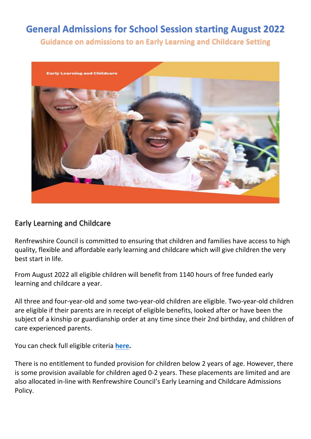# **General Admissions for School Session starting August 2022**

**Guidance on admissions to an Early Learning and Childcare Setting**



## Early Learning and Childcare

Renfrewshire Council is committed to ensuring that children and families have access to high quality, flexible and affordable early learning and childcare which will give children the very best start in life.

From August 2022 all eligible children will benefit from 1140 hours of free funded early learning and childcare a year.

All three and four-year-old and some two-year-old children are eligible. Two-year-old children are eligible if their parents are in receipt of eligible benefits, looked after or have been the subject of a kinship or guardianship order at any time since their 2nd birthday, and children of care experienced parents.

You can check full eligible criteria **[here.](https://www.mygov.scot/childcare-costs-help/funded-early-learning-and-childcare/)**

There is no entitlement to funded provision for children below 2 years of age. However, there is some provision available for children aged 0-2 years. These placements are limited and are also allocated in-line with Renfrewshire Council's Early Learning and Childcare Admissions Policy.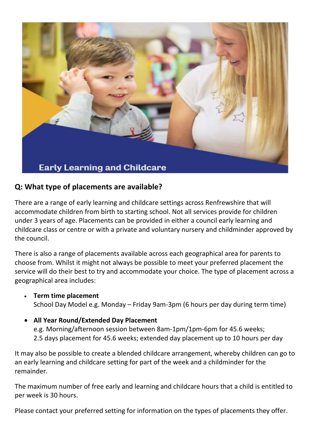

## **Q: What type of placements are available?**

There are a range of early learning and childcare settings across Renfrewshire that will accommodate children from birth to starting school. Not all services provide for children under 3 years of age. Placements can be provided in either a council early learning and childcare class or centre or with a private and voluntary nursery and childminder approved by the council.

There is also a range of placements available across each geographical area for parents to choose from. Whilst it might not always be possible to meet your preferred placement the service will do their best to try and accommodate your choice. The type of placement across a geographical area includes:

- **Term time placement** School Day Model e.g. Monday – Friday 9am-3pm (6 hours per day during term time)
- **All Year Round/Extended Day Placement**

e.g. Morning/afternoon session between 8am-1pm/1pm-6pm for 45.6 weeks; 2.5 days placement for 45.6 weeks; extended day placement up to 10 hours per day

It may also be possible to create a blended childcare arrangement, whereby children can go to an early learning and childcare setting for part of the week and a childminder for the remainder.

The maximum number of free early and learning and childcare hours that a child is entitled to per week is 30 hours.

Please contact your preferred setting for information on the types of placements they offer.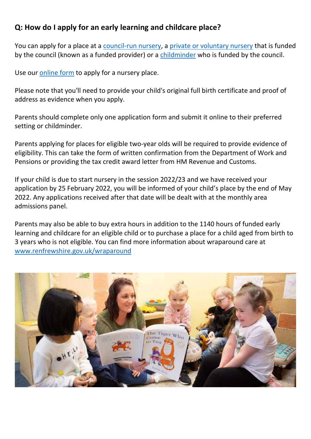## **Q: How do I apply for an early learning and childcare place?**

You can apply for a place at a [council-run nursery,](http://www.renfrewshire.gov.uk/article/3023/Renfrewshire-Council-nurseries) a [private or voluntary nursery](http://www.renfrewshire.gov.uk/article/2983/Private-and-voluntary-nurseries-and-childminders) that is funded by the council (known as a funded provider) or a [childminder](http://www.renfrewshire.gov.uk/article/2983/Private-and-voluntary-nurseries-and-childminders) who is funded by the council.

Use our [online form](https://myaccount.renfrewshire.gov.uk/service/Apply_for_a_placement_for_early_learning_and_childcare) to apply for a nursery place.

Please note that you'll need to provide your child's original full birth certificate and proof of address as evidence when you apply.

Parents should complete only one application form and submit it online to their preferred setting or childminder.

Parents applying for places for eligible two-year olds will be required to provide evidence of eligibility. This can take the form of written confirmation from the Department of Work and Pensions or providing the tax credit award letter from HM Revenue and Customs.

If your child is due to start nursery in the session 2022/23 and we have received your application by 25 February 2022, you will be informed of your child's place by the end of May 2022. Any applications received after that date will be dealt with at the monthly area admissions panel.

Parents may also be able to buy extra hours in addition to the 1140 hours of funded early learning and childcare for an eligible child or to purchase a place for a child aged from birth to 3 years who is not eligible. You can find more information about wraparound care at [www.renfrewshire.gov.uk/wraparound](https://www.renfrewshire.gov.uk/article/11142/How-much-free-nursery-hours-or-childcare-you-can-get)

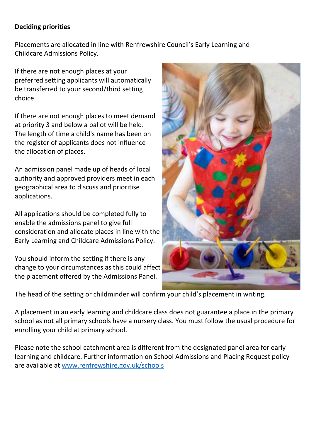### **Deciding priorities**

Placements are allocated in line with Renfrewshire Council's Early Learning and Childcare Admissions Policy.

If there are not enough places at your preferred setting applicants will automatically be transferred to your second/third setting choice.

If there are not enough places to meet demand at priority 3 and below a ballot will be held. The length of time a child's name has been on the register of applicants does not influence the allocation of places.

An admission panel made up of heads of local authority and approved providers meet in each geographical area to discuss and prioritise applications.

All applications should be completed fully to enable the admissions panel to give full consideration and allocate places in line with the Early Learning and Childcare Admissions Policy.

You should inform the setting if there is any change to your circumstances as this could affect the placement offered by the Admissions Panel.



The head of the setting or childminder will confirm your child's placement in writing.

A placement in an early learning and childcare class does not guarantee a place in the primary school as not all primary schools have a nursery class. You must follow the usual procedure for enrolling your child at primary school.

Please note the school catchment area is different from the designated panel area for early learning and childcare. Further information on School Admissions and Placing Request policy are available at [www.renfrewshire.gov.uk/schools](https://www.renfrewshire.gov.uk/article/11957/Apply-for-a-place-at-school)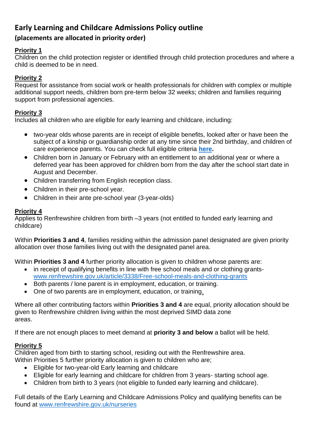## **Early Learning and Childcare Admissions Policy outline**

### **(placements are allocated in priority order)**

#### **Priority 1**

Children on the child protection register or identified through child protection procedures and where a child is deemed to be in need.

#### **Priority 2**

Request for assistance from social work or health professionals for children with complex or multiple additional support needs, children born pre-term below 32 weeks; children and families requiring support from professional agencies.

#### **Priority 3**

Includes all children who are eligible for early learning and childcare, including:

- two-year olds whose parents are in receipt of eligible benefits, looked after or have been the subject of a kinship or guardianship order at any time since their 2nd birthday, and children of care experience parents. You can check full eligible criteria **[here.](https://www.mygov.scot/childcare-costs-help/funded-early-learning-and-childcare/)**
- Children born in January or February with an entitlement to an additional year or where a deferred year has been approved for children born from the day after the school start date in August and December.
- Children transferring from English reception class.
- Children in their pre-school year.
- Children in their ante pre-school year (3-year-olds)

#### **Priority 4**

Applies to Renfrewshire children from birth –3 years (not entitled to funded early learning and childcare)

Within **Priorities 3 and 4**, families residing within the admission panel designated are given priority allocation over those families living out with the designated panel area.

Within **Priorities 3 and 4** further priority allocation is given to children whose parents are:

- in receipt of qualifying benefits in line with free school meals and or clothing grants[www.renfrewshire.gov.uk/article/3338/Free-school-meals-and-clothing-grants](http://www.renfrewshire.gov.uk/article/3338/Free-school-meals-and-clothing-grants)
- Both parents / lone parent is in employment, education, or training.
- One of two parents are in employment, education, or training.

Where all other contributing factors within **Priorities 3 and 4** are equal, priority allocation should be given to Renfrewshire children living within the most deprived SIMD data zone areas.

If there are not enough places to meet demand at **priority 3 and below** a ballot will be held.

#### **Priority 5**

Children aged from birth to starting school, residing out with the Renfrewshire area.

Within Priorities 5 further priority allocation is given to children who are;

- Eligible for two-year-old Early learning and childcare
- Eligible for early learning and childcare for children from 3 years- starting school age.
- Children from birth to 3 years (not eligible to funded early learning and childcare).

Full details of the Early Learning and Childcare Admissions Policy and qualifying benefits can be found at [www.renfrewshire.gov.uk/nurseries](http://www.renfrewshire.gov.uk/nurseries)